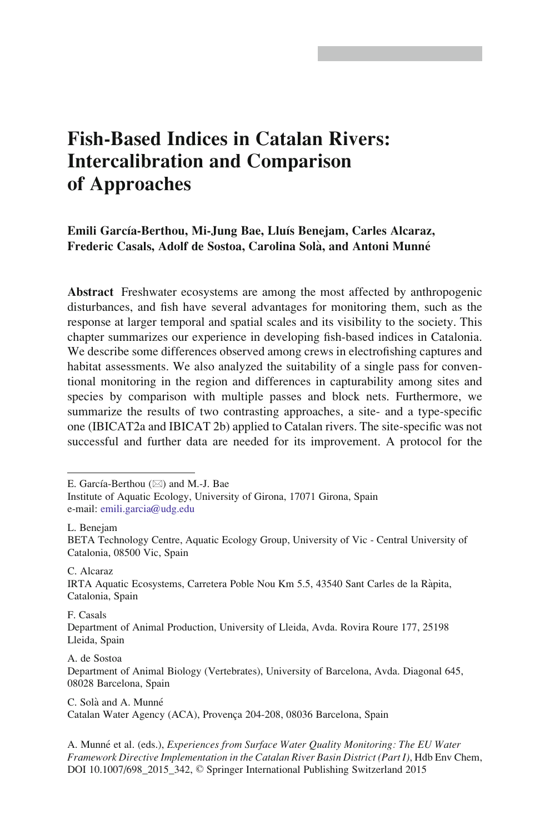# Fish-Based Indices in Catalan Rivers: Intercalibration and Comparison of Approaches

Emili García-Berthou, Mi-Jung Bae, Lluís Benejam, Carles Alcaraz, Frederic Casals, Adolf de Sostoa, Carolina Sola, and Antoni Munne´

Abstract Freshwater ecosystems are among the most affected by anthropogenic disturbances, and fish have several advantages for monitoring them, such as the response at larger temporal and spatial scales and its visibility to the society. This chapter summarizes our experience in developing fish-based indices in Catalonia. We describe some differences observed among crews in electrofishing captures and habitat assessments. We also analyzed the suitability of a single pass for conventional monitoring in the region and differences in capturability among sites and species by comparison with multiple passes and block nets. Furthermore, we summarize the results of two contrasting approaches, a site- and a type-specific one (IBICAT2a and IBICAT 2b) applied to Catalan rivers. The site-specific was not successful and further data are needed for its improvement. A protocol for the

E. García-Berthou ( $\boxtimes$ ) and M.-J. Bae

Institute of Aquatic Ecology, University of Girona, 17071 Girona, Spain e-mail: [emili.garcia@udg.edu](mailto:emili.garcia@udg.edu)

L. Benejam

BETA Technology Centre, Aquatic Ecology Group, University of Vic - Central University of Catalonia, 08500 Vic, Spain

C. Alcaraz IRTA Aquatic Ecosystems, Carretera Poble Nou Km 5.5, 43540 Sant Carles de la Rapita, Catalonia, Spain

F. Casals Department of Animal Production, University of Lleida, Avda. Rovira Roure 177, 25198 Lleida, Spain

A. de Sostoa Department of Animal Biology (Vertebrates), University of Barcelona, Avda. Diagonal 645, 08028 Barcelona, Spain

C. Solà and A. Munné Catalan Water Agency (ACA), Provença 204-208, 08036 Barcelona, Spain

A. Munné et al. (eds.), Experiences from Surface Water Quality Monitoring: The EU Water Framework Directive Implementation in the Catalan River Basin District (Part I), Hdb Env Chem, DOI 10.1007/698\_2015\_342, © Springer International Publishing Switzerland 2015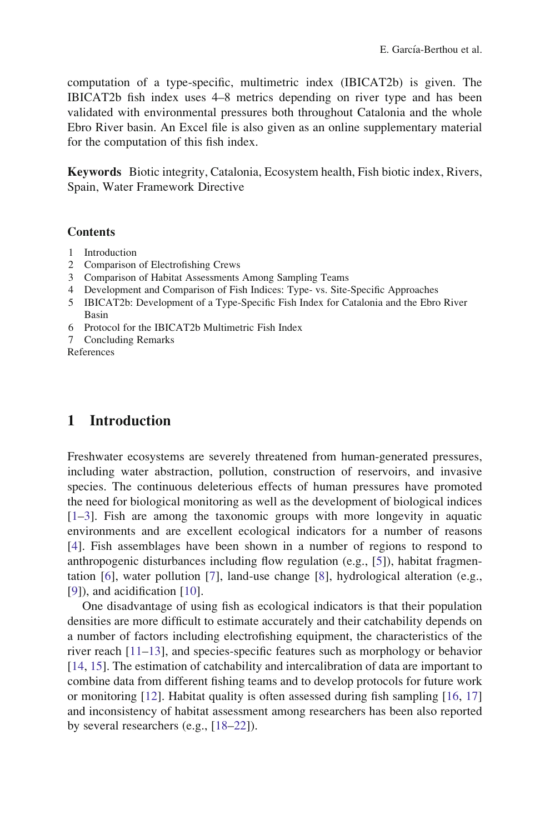computation of a type-specific, multimetric index (IBICAT2b) is given. The IBICAT2b fish index uses 4–8 metrics depending on river type and has been validated with environmental pressures both throughout Catalonia and the whole Ebro River basin. An Excel file is also given as an online supplementary material for the computation of this fish index.

Keywords Biotic integrity, Catalonia, Ecosystem health, Fish biotic index, Rivers, Spain, Water Framework Directive

#### **Contents**

- 1 Introduction
- 2 Comparison of Electrofishing Crews
- 3 Comparison of Habitat Assessments Among Sampling Teams
- 4 Development and Comparison of Fish Indices: Type- vs. Site-Specific Approaches
- 5 IBICAT2b: Development of a Type-Specific Fish Index for Catalonia and the Ebro River Basin
- 6 Protocol for the IBICAT2b Multimetric Fish Index
- 7 Concluding Remarks

References

#### 1 Introduction

Freshwater ecosystems are severely threatened from human-generated pressures, including water abstraction, pollution, construction of reservoirs, and invasive species. The continuous deleterious effects of human pressures have promoted the need for biological monitoring as well as the development of biological indices [\[1–3](#page-19-0)]. Fish are among the taxonomic groups with more longevity in aquatic environments and are excellent ecological indicators for a number of reasons [\[4](#page-19-0)]. Fish assemblages have been shown in a number of regions to respond to anthropogenic disturbances including flow regulation (e.g., [[5\]](#page-19-0)), habitat fragmentation [[6\]](#page-19-0), water pollution [\[7](#page-19-0)], land-use change [[8\]](#page-19-0), hydrological alteration (e.g., [\[9](#page-19-0)]), and acidification [\[10](#page-19-0)].

One disadvantage of using fish as ecological indicators is that their population densities are more difficult to estimate accurately and their catchability depends on a number of factors including electrofishing equipment, the characteristics of the river reach [[11–13\]](#page-19-0), and species-specific features such as morphology or behavior [\[14](#page-19-0), [15\]](#page-19-0). The estimation of catchability and intercalibration of data are important to combine data from different fishing teams and to develop protocols for future work or monitoring [[12\]](#page-19-0). Habitat quality is often assessed during fish sampling [[16,](#page-19-0) [17](#page-19-0)] and inconsistency of habitat assessment among researchers has been also reported by several researchers (e.g., [[18–](#page-19-0)[22\]](#page-20-0)).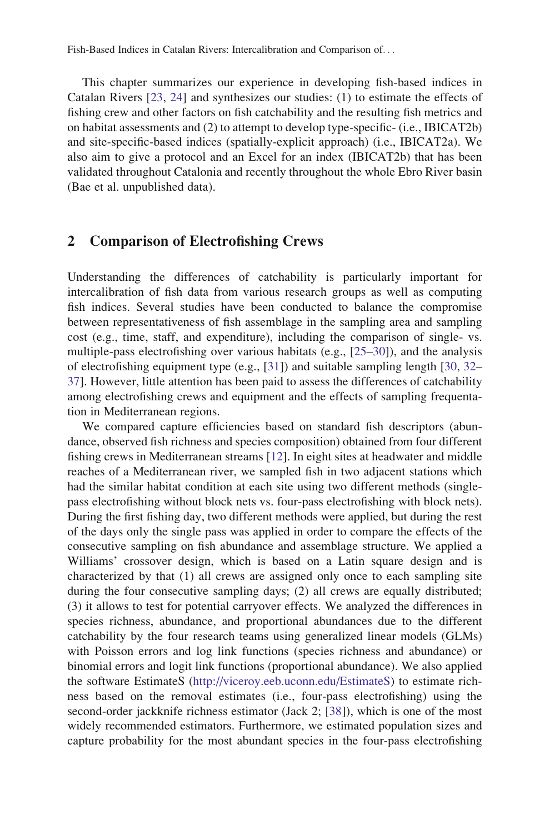This chapter summarizes our experience in developing fish-based indices in Catalan Rivers [\[23](#page-20-0), [24](#page-20-0)] and synthesizes our studies: (1) to estimate the effects of fishing crew and other factors on fish catchability and the resulting fish metrics and on habitat assessments and (2) to attempt to develop type-specific- (i.e., IBICAT2b) and site-specific-based indices (spatially-explicit approach) (i.e., IBICAT2a). We also aim to give a protocol and an Excel for an index (IBICAT2b) that has been validated throughout Catalonia and recently throughout the whole Ebro River basin (Bae et al. unpublished data).

#### 2 Comparison of Electrofishing Crews

Understanding the differences of catchability is particularly important for intercalibration of fish data from various research groups as well as computing fish indices. Several studies have been conducted to balance the compromise between representativeness of fish assemblage in the sampling area and sampling cost (e.g., time, staff, and expenditure), including the comparison of single- vs. multiple-pass electrofishing over various habitats (e.g., [\[25–30](#page-20-0)]), and the analysis of electrofishing equipment type (e.g., [[31\]](#page-20-0)) and suitable sampling length [\[30](#page-20-0), [32–](#page-20-0) [37\]](#page-20-0). However, little attention has been paid to assess the differences of catchability among electrofishing crews and equipment and the effects of sampling frequentation in Mediterranean regions.

We compared capture efficiencies based on standard fish descriptors (abundance, observed fish richness and species composition) obtained from four different fishing crews in Mediterranean streams [\[12](#page-19-0)]. In eight sites at headwater and middle reaches of a Mediterranean river, we sampled fish in two adjacent stations which had the similar habitat condition at each site using two different methods (singlepass electrofishing without block nets vs. four-pass electrofishing with block nets). During the first fishing day, two different methods were applied, but during the rest of the days only the single pass was applied in order to compare the effects of the consecutive sampling on fish abundance and assemblage structure. We applied a Williams' crossover design, which is based on a Latin square design and is characterized by that (1) all crews are assigned only once to each sampling site during the four consecutive sampling days; (2) all crews are equally distributed; (3) it allows to test for potential carryover effects. We analyzed the differences in species richness, abundance, and proportional abundances due to the different catchability by the four research teams using generalized linear models (GLMs) with Poisson errors and log link functions (species richness and abundance) or binomial errors and logit link functions (proportional abundance). We also applied the software EstimateS [\(http://viceroy.eeb.uconn.edu/EstimateS](http://viceroy.eeb.uconn.edu/EstimateS)) to estimate richness based on the removal estimates (i.e., four-pass electrofishing) using the second-order jackknife richness estimator (Jack 2; [\[38](#page-20-0)]), which is one of the most widely recommended estimators. Furthermore, we estimated population sizes and capture probability for the most abundant species in the four-pass electrofishing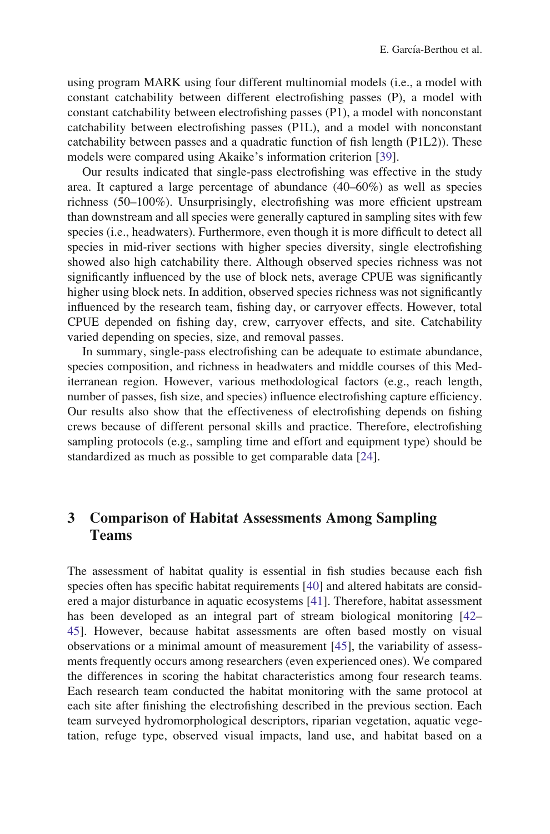using program MARK using four different multinomial models (i.e., a model with constant catchability between different electrofishing passes (P), a model with constant catchability between electrofishing passes (P1), a model with nonconstant catchability between electrofishing passes (P1L), and a model with nonconstant catchability between passes and a quadratic function of fish length (P1L2)). These models were compared using Akaike's information criterion [\[39](#page-20-0)].

Our results indicated that single-pass electrofishing was effective in the study area. It captured a large percentage of abundance (40–60%) as well as species richness (50–100%). Unsurprisingly, electrofishing was more efficient upstream than downstream and all species were generally captured in sampling sites with few species (i.e., headwaters). Furthermore, even though it is more difficult to detect all species in mid-river sections with higher species diversity, single electrofishing showed also high catchability there. Although observed species richness was not significantly influenced by the use of block nets, average CPUE was significantly higher using block nets. In addition, observed species richness was not significantly influenced by the research team, fishing day, or carryover effects. However, total CPUE depended on fishing day, crew, carryover effects, and site. Catchability varied depending on species, size, and removal passes.

In summary, single-pass electrofishing can be adequate to estimate abundance, species composition, and richness in headwaters and middle courses of this Mediterranean region. However, various methodological factors (e.g., reach length, number of passes, fish size, and species) influence electrofishing capture efficiency. Our results also show that the effectiveness of electrofishing depends on fishing crews because of different personal skills and practice. Therefore, electrofishing sampling protocols (e.g., sampling time and effort and equipment type) should be standardized as much as possible to get comparable data [\[24](#page-20-0)].

## 3 Comparison of Habitat Assessments Among Sampling Teams

The assessment of habitat quality is essential in fish studies because each fish species often has specific habitat requirements [\[40](#page-20-0)] and altered habitats are considered a major disturbance in aquatic ecosystems [\[41](#page-20-0)]. Therefore, habitat assessment has been developed as an integral part of stream biological monitoring [[42–](#page-20-0) [45\]](#page-21-0). However, because habitat assessments are often based mostly on visual observations or a minimal amount of measurement [[45\]](#page-21-0), the variability of assessments frequently occurs among researchers (even experienced ones). We compared the differences in scoring the habitat characteristics among four research teams. Each research team conducted the habitat monitoring with the same protocol at each site after finishing the electrofishing described in the previous section. Each team surveyed hydromorphological descriptors, riparian vegetation, aquatic vegetation, refuge type, observed visual impacts, land use, and habitat based on a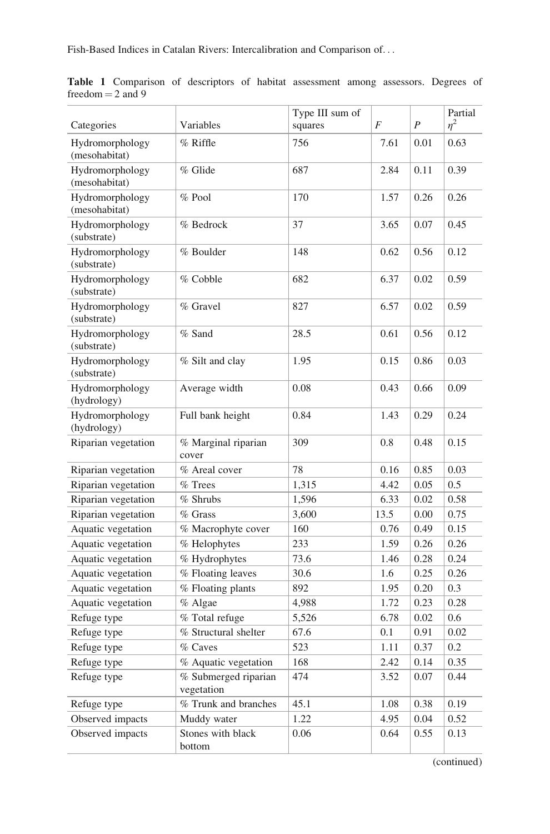|                                  |                                    | Type III sum of |      |                | Partial |
|----------------------------------|------------------------------------|-----------------|------|----------------|---------|
| Categories                       | Variables<br>squares               |                 | F    | $\overline{P}$ | $n^2$   |
| Hydromorphology<br>(mesohabitat) | % Riffle                           | 756             | 7.61 | 0.01           | 0.63    |
| Hydromorphology<br>(mesohabitat) | % Glide                            | 687             | 2.84 | 0.11           | 0.39    |
| Hydromorphology<br>(mesohabitat) | $%$ Pool                           | 170             | 1.57 | 0.26           | 0.26    |
| Hydromorphology<br>(substrate)   | % Bedrock                          | 37              | 3.65 | 0.07           | 0.45    |
| Hydromorphology<br>(substrate)   | % Boulder                          | 148             | 0.62 | 0.56           | 0.12    |
| Hydromorphology<br>(substrate)   | % Cobble                           | 682             | 6.37 | 0.02           | 0.59    |
| Hydromorphology<br>(substrate)   | % Gravel                           | 827             | 6.57 | 0.02           | 0.59    |
| Hydromorphology<br>(substrate)   | % Sand                             | 28.5            | 0.61 | 0.56           | 0.12    |
| Hydromorphology<br>(substrate)   | % Silt and clay                    | 1.95            | 0.15 | 0.86           | 0.03    |
| Hydromorphology<br>(hydrology)   | Average width                      | 0.08            | 0.43 | 0.66           | 0.09    |
| Hydromorphology<br>(hydrology)   | Full bank height                   | 0.84            | 1.43 | 0.29           | 0.24    |
| Riparian vegetation              | % Marginal riparian<br>cover       | 309             | 0.8  | 0.48           | 0.15    |
| Riparian vegetation              | % Areal cover                      | 78              | 0.16 | 0.85           | 0.03    |
| Riparian vegetation              | % Trees                            | 1,315           | 4.42 | 0.05           | 0.5     |
| Riparian vegetation              | $%$ Shrubs                         | 1,596           | 6.33 | 0.02           | 0.58    |
| Riparian vegetation              | % Grass                            | 3,600           | 13.5 | 0.00           | 0.75    |
| Aquatic vegetation               | % Macrophyte cover                 | 160             | 0.76 | 0.49           | 0.15    |
| Aquatic vegetation               | % Helophytes                       | 233             | 1.59 | 0.26           | 0.26    |
| Aquatic vegetation               | % Hydrophytes                      | 73.6            | 1.46 | 0.28           | 0.24    |
| Aquatic vegetation               | % Floating leaves                  | 30.6            | 1.6  | 0.25           | 0.26    |
| Aquatic vegetation               | % Floating plants                  | 892             | 1.95 | 0.20           | 0.3     |
| Aquatic vegetation               | % Algae                            | 4,988           | 1.72 | 0.23           | 0.28    |
| Refuge type                      | % Total refuge                     | 5,526           | 6.78 | 0.02           | 0.6     |
| Refuge type                      | % Structural shelter               | 67.6            | 0.1  | 0.91           | 0.02    |
| Refuge type                      | % Caves                            | 523             | 1.11 | 0.37           | 0.2     |
| Refuge type                      | % Aquatic vegetation               | 168             | 2.42 | 0.14           | 0.35    |
| Refuge type                      | % Submerged riparian<br>vegetation | 474             | 3.52 | 0.07           | 0.44    |
| Refuge type                      | % Trunk and branches               | 45.1            | 1.08 | 0.38           | 0.19    |
| Observed impacts                 | Muddy water                        | 1.22            | 4.95 | 0.04           | 0.52    |
| Observed impacts                 | Stones with black<br>bottom        | 0.06            | 0.64 | 0.55           | 0.13    |

<span id="page-4-0"></span>Table 1 Comparison of descriptors of habitat assessment among assessors. Degrees of freedom  $= 2$  and 9

(continued)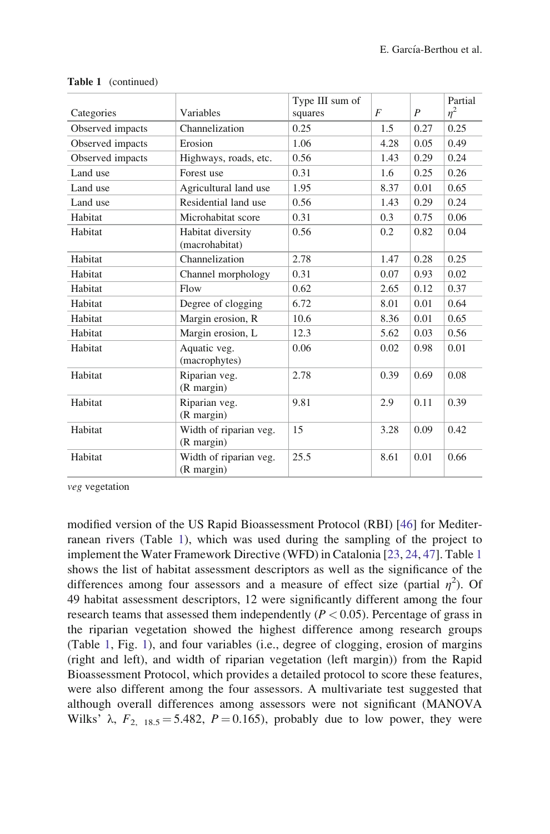| Categories       | Variables                                      | Type III sum of<br>squares | $\overline{F}$ | $\boldsymbol{P}$ | Partial<br>$\eta^2$ |
|------------------|------------------------------------------------|----------------------------|----------------|------------------|---------------------|
| Observed impacts | Channelization                                 | 0.25                       | 1.5            | 0.27             | 0.25                |
| Observed impacts | Erosion                                        | 1.06                       | 4.28           | 0.05             | 0.49                |
| Observed impacts | Highways, roads, etc.                          | 0.56                       | 1.43           | 0.29             | 0.24                |
| Land use         | Forest use                                     | 0.31                       | 1.6            | 0.25             | 0.26                |
| Land use         | Agricultural land use                          | 1.95                       | 8.37           | 0.01             | 0.65                |
| Land use         | Residential land use                           | 0.56                       | 1.43           | 0.29             | 0.24                |
| Habitat          | Microhabitat score                             | 0.31                       | 0.3            | 0.75             | 0.06                |
| Habitat          | Habitat diversity                              | 0.56                       | 0.2            | 0.82             | 0.04                |
|                  | (macrohabitat)                                 |                            |                |                  |                     |
| Habitat          | Channelization                                 | 2.78                       | 1.47           | 0.28             | 0.25                |
| Habitat          | Channel morphology                             | 0.31                       | 0.07           | 0.93             | 0.02                |
| Habitat          | Flow                                           | 0.62                       | 2.65           | 0.12             | 0.37                |
| Habitat          | Degree of clogging                             | 6.72                       | 8.01           | 0.01             | 0.64                |
| Habitat          | Margin erosion, R                              | 10.6                       | 8.36           | 0.01             | 0.65                |
| Habitat          | Margin erosion, L                              | 12.3                       | 5.62           | 0.03             | 0.56                |
| Habitat          | Aquatic veg.<br>(macrophytes)                  | 0.06                       | 0.02           | 0.98             | 0.01                |
| Habitat          | Riparian veg.<br>(R margin)                    | 2.78                       | 0.39           | 0.69             | 0.08                |
| Habitat          | Riparian veg.<br>(R margin)                    | 9.81                       | 2.9            | 0.11             | 0.39                |
| Habitat          | Width of riparian veg.<br>(R margin)           | 15                         | 3.28           | 0.09             | 0.42                |
| Habitat          | Width of riparian veg.<br>$(R \text{ margin})$ | 25.5                       | 8.61           | 0.01             | 0.66                |

|  | <b>Table 1</b> (continued) |
|--|----------------------------|
|--|----------------------------|

veg vegetation

modified version of the US Rapid Bioassessment Protocol (RBI) [\[46](#page-21-0)] for Mediterranean rivers (Table [1](#page-4-0)), which was used during the sampling of the project to implement the Water Framework Directive (WFD) in Catalonia [[23,](#page-20-0) [24,](#page-20-0) [47](#page-21-0)]. Table [1](#page-4-0) shows the list of habitat assessment descriptors as well as the significance of the differences among four assessors and a measure of effect size (partial  $\eta^2$ ). Of 49 habitat assessment descriptors, 12 were significantly different among the four research teams that assessed them independently  $(P < 0.05)$ . Percentage of grass in the riparian vegetation showed the highest difference among research groups (Table [1](#page-4-0), Fig. [1](#page-6-0)), and four variables (i.e., degree of clogging, erosion of margins (right and left), and width of riparian vegetation (left margin)) from the Rapid Bioassessment Protocol, which provides a detailed protocol to score these features, were also different among the four assessors. A multivariate test suggested that although overall differences among assessors were not significant (MANOVA Wilks'  $\lambda$ ,  $F_{2,18,5} = 5.482$ ,  $P = 0.165$ ), probably due to low power, they were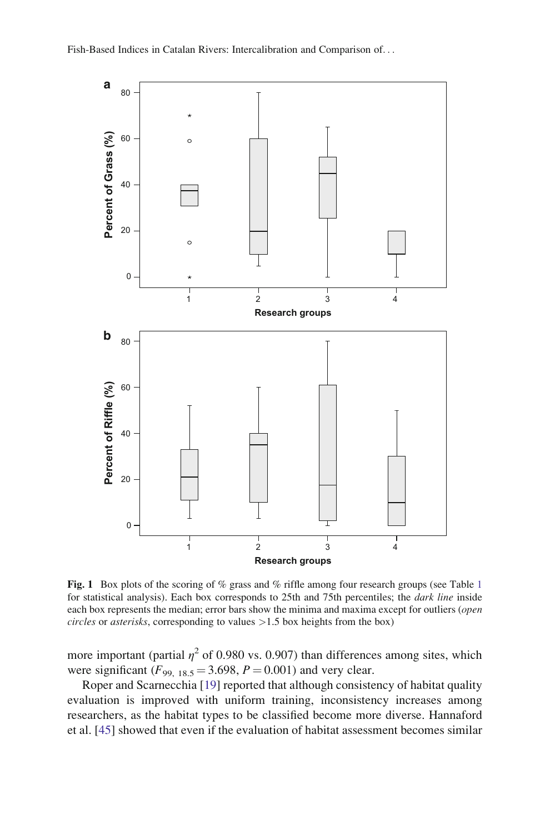<span id="page-6-0"></span>

Fig. [1](#page-4-0) Box plots of the scoring of  $\%$  grass and  $\%$  riffle among four research groups (see Table 1) for statistical analysis). Each box corresponds to 25th and 75th percentiles; the dark line inside each box represents the median; error bars show the minima and maxima except for outliers (open circles or asterisks, corresponding to values  $>1.5$  box heights from the box)

more important (partial  $\eta^2$  of 0.980 vs. 0.907) than differences among sites, which were significant ( $F_{99, 18.5} = 3.698, P = 0.001$ ) and very clear.

Roper and Scarnecchia [\[19](#page-19-0)] reported that although consistency of habitat quality evaluation is improved with uniform training, inconsistency increases among researchers, as the habitat types to be classified become more diverse. Hannaford et al. [[45\]](#page-21-0) showed that even if the evaluation of habitat assessment becomes similar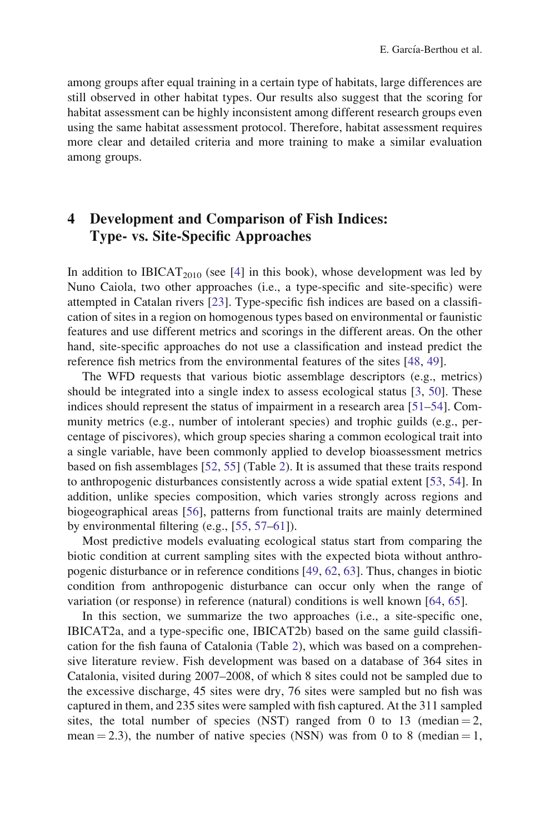among groups after equal training in a certain type of habitats, large differences are still observed in other habitat types. Our results also suggest that the scoring for habitat assessment can be highly inconsistent among different research groups even using the same habitat assessment protocol. Therefore, habitat assessment requires more clear and detailed criteria and more training to make a similar evaluation among groups.

## 4 Development and Comparison of Fish Indices: Type- vs. Site-Specific Approaches

In addition to IBICAT<sub>2010</sub> (see [\[4](#page-19-0)] in this book), whose development was led by Nuno Caiola, two other approaches (i.e., a type-specific and site-specific) were attempted in Catalan rivers [\[23](#page-20-0)]. Type-specific fish indices are based on a classification of sites in a region on homogenous types based on environmental or faunistic features and use different metrics and scorings in the different areas. On the other hand, site-specific approaches do not use a classification and instead predict the reference fish metrics from the environmental features of the sites [\[48,](#page-21-0) [49](#page-21-0)].

The WFD requests that various biotic assemblage descriptors (e.g., metrics) should be integrated into a single index to assess ecological status [[3,](#page-19-0) [50\]](#page-21-0). These indices should represent the status of impairment in a research area [\[51–54](#page-21-0)]. Community metrics (e.g., number of intolerant species) and trophic guilds (e.g., percentage of piscivores), which group species sharing a common ecological trait into a single variable, have been commonly applied to develop bioassessment metrics based on fish assemblages [[52,](#page-21-0) [55\]](#page-21-0) (Table [2](#page-8-0)). It is assumed that these traits respond to anthropogenic disturbances consistently across a wide spatial extent [[53,](#page-21-0) [54\]](#page-21-0). In addition, unlike species composition, which varies strongly across regions and biogeographical areas [\[56](#page-21-0)], patterns from functional traits are mainly determined by environmental filtering (e.g., [\[55](#page-21-0), [57–61](#page-21-0)]).

Most predictive models evaluating ecological status start from comparing the biotic condition at current sampling sites with the expected biota without anthropogenic disturbance or in reference conditions [[49,](#page-21-0) [62,](#page-21-0) [63\]](#page-21-0). Thus, changes in biotic condition from anthropogenic disturbance can occur only when the range of variation (or response) in reference (natural) conditions is well known [\[64](#page-21-0), [65](#page-21-0)].

In this section, we summarize the two approaches (i.e., a site-specific one, IBICAT2a, and a type-specific one, IBICAT2b) based on the same guild classification for the fish fauna of Catalonia (Table [2\)](#page-8-0), which was based on a comprehensive literature review. Fish development was based on a database of 364 sites in Catalonia, visited during 2007–2008, of which 8 sites could not be sampled due to the excessive discharge, 45 sites were dry, 76 sites were sampled but no fish was captured in them, and 235 sites were sampled with fish captured. At the 311 sampled sites, the total number of species (NST) ranged from 0 to 13 (median  $=$  2, mean = 2.3), the number of native species (NSN) was from 0 to 8 (median = 1,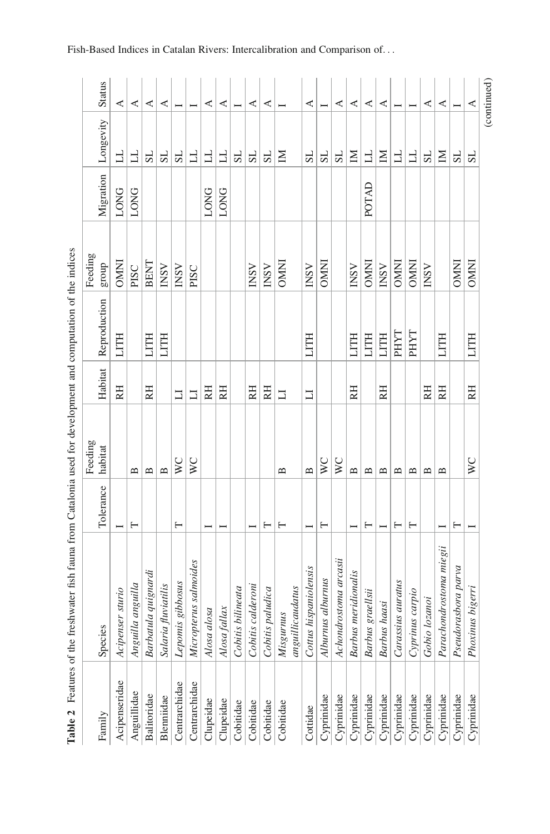<span id="page-8-0"></span>

| Table 2 Features of the | freshwater fish fauna from Catalonia used for development and computation of the indices |           |                              |           |              |                          |             |                |               |
|-------------------------|------------------------------------------------------------------------------------------|-----------|------------------------------|-----------|--------------|--------------------------|-------------|----------------|---------------|
| Family                  | Species                                                                                  | Tolerance | Feeding<br>habitat           | Habitat   | Reproduction | Feeding<br>group         | Migration   | Longevity      | <b>Status</b> |
| Acipenseridae           | Acipenser sturio                                                                         |           |                              | <b>RH</b> | LITH         | <b>OMNI</b>              | <b>LONG</b> | 」              | ⋖             |
| Anguillidae             | Anguilla anguilla                                                                        | Н         | $\mathbf{a}$                 |           |              | PISC                     | <b>LONG</b> | 」              | ⋖             |
| Balitoridae             | Barbatula quignardi                                                                      |           | $\mathbf{\Omega}$            | RH        | <b>HILT</b>  | <b>BENT</b>              |             | S <sub>L</sub> | ⋖             |
| Blenniidae              | Salaria fluviatilis                                                                      |           | $\mathbf{\Omega}$            |           | LITH         | <b>INSV</b>              |             | S <sub>L</sub> | ⋖             |
| Centrarchidae           | Lepomis gibbosus                                                                         | ⊢         | $\mathsf{W}^{\mathsf{C}}$    | $\Box$    |              | $\overline{\text{INSV}}$ |             | $_{\rm SI}$    |               |
| Centrarchidae           | Micropterus salmoides                                                                    |           | $\overline{\mathsf{x}}$      | $\Box$    |              | PISC                     |             | 」              |               |
| Clupeidae               | Alosa alosa                                                                              |           |                              | <b>RH</b> |              |                          | <b>LONG</b> | 」              | ⋖             |
| Clupeidae               | Alosa fallax                                                                             |           |                              | <b>RH</b> |              |                          | <b>LONG</b> | 」              | ⋖             |
| Cobitidae               | Cobitis bilineata                                                                        |           |                              |           |              |                          |             | $_{\rm S}$     |               |
| Cobitidae               | Cobitis calderoni                                                                        |           |                              | RH        |              | <b>INSV</b>              |             | S <sub>L</sub> | ⋖             |
| Cobitidae               | Cobitis paludica                                                                         | ⊢         |                              | <b>RH</b> |              | <b>INSV</b>              |             | SL             | ⋖             |
| Cobitidae               | Misgurnus                                                                                | ⊢         | $\mathbf{a}$                 | $\Box$    |              | <b>DMNI</b>              |             | $\mathbb N$    |               |
|                         | anguillicaudatus                                                                         |           |                              |           |              |                          |             |                |               |
| Cottidae                | Cottus hispaniolensis                                                                    |           | $\mathbf{a}$                 | $\Box$    | LITH         | <b>INSV</b>              |             | SL             | ⋖             |
| Cyprinidae              | Alburnus alburnus                                                                        | ⊢         | $\sum_{i=1}^{n}$             |           |              | <b>DMNI</b>              |             | $_{\rm S}$     |               |
| Cyprinidae              | Achondrostoma arcasii                                                                    |           | $\boldsymbol{\triangledown}$ |           |              |                          |             | S <sub>L</sub> | ⋖             |
| Cyprinidae              | <b>Barbus</b> meridionalis                                                               |           | $\mathbf{u}$                 | RH        | LITH         | <b>INSV</b>              |             | N              | ⋖             |
| Cyprinidae              | Barbus graellsii                                                                         | ⊢         | $\mathbf{r}$                 |           | <b>LITH</b>  | <b>DMNI</b>              | POTAD       | 」              | ⋖             |
| Cyprinidae              | Barbus haasi                                                                             |           | $\mathbf{a}$                 | RH        | <b>LITH</b>  | <b>INSV</b>              |             | Σ              | ⋖             |
| Cyprinidae              | Carassius auratus                                                                        | ⊢         | ⋍                            |           | <b>PHYT</b>  | <b>DMNI</b>              |             | 」              |               |
| Cyprinidae              | Cyprinus carpio                                                                          | ⊢         | ≏                            |           | PHYT         | <b>OMNI</b>              |             | 」              |               |
| Cyprinidae              | Gobio lozanoi                                                                            |           | $\mathbf{r}$                 | RH        |              | <b>INSV</b>              |             | $_{\rm SI}$    | ⋖             |
| Cyprinidae              | Parachondrostoma miegii                                                                  |           | $\mathbf{r}$                 | RH        | LITH         |                          |             | N              | ⋖             |
| Cyprinidae              | Pseudorasbora parva                                                                      | ⊢         |                              |           |              | <b>DMNI</b>              |             | SL             |               |
| Cyprinidae              | Phoxinus bigerri                                                                         |           | $\boldsymbol{\triangledown}$ | RH        | LITH         | <b>DMNI</b>              |             | S <sub>L</sub> | ⋖             |
|                         |                                                                                          |           |                              |           |              |                          |             |                | (continued)   |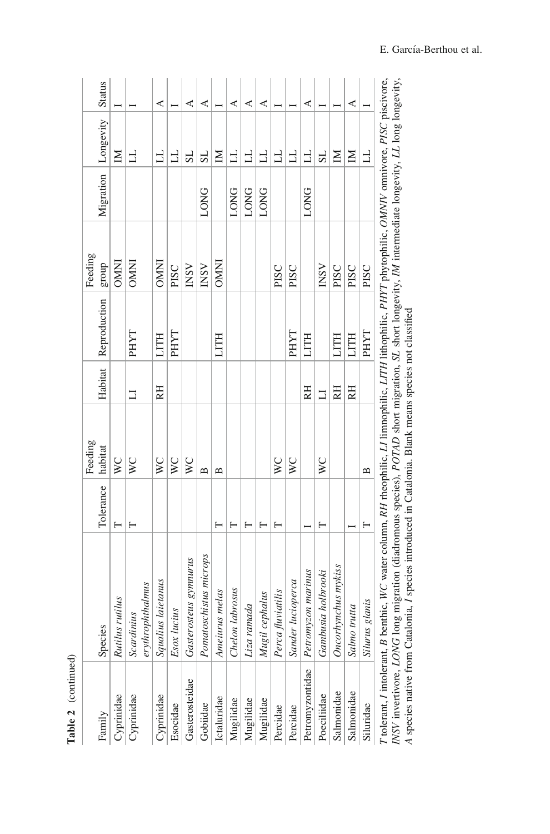|                                                       |                                                                                                                                                                                                                                                                                                                                                                         |           | Feeding                 |         |              | Feeding     |             |                         |               |
|-------------------------------------------------------|-------------------------------------------------------------------------------------------------------------------------------------------------------------------------------------------------------------------------------------------------------------------------------------------------------------------------------------------------------------------------|-----------|-------------------------|---------|--------------|-------------|-------------|-------------------------|---------------|
| Family                                                | Species                                                                                                                                                                                                                                                                                                                                                                 | Tolerance | habitat                 | Habitat | Reproduction | dnora       | Migration   | Longevity               | <b>Status</b> |
| Cyprinidae                                            | Rutilus rutilus                                                                                                                                                                                                                                                                                                                                                         | $\vdash$  | $\overline{\mathsf{v}}$ |         |              | <b>DMNI</b> |             | $\mathbb N$             |               |
| Cyprinidae                                            | Scardinius                                                                                                                                                                                                                                                                                                                                                              | ⊢         | $\overline{\mathsf{v}}$ | $\Box$  | PHYT         | <b>DMNI</b> |             | $\overline{\mathbf{H}}$ |               |
|                                                       | erythrophthalmus                                                                                                                                                                                                                                                                                                                                                        |           |                         |         |              |             |             |                         |               |
| Cyprinidae                                            | Squalius laietanus                                                                                                                                                                                                                                                                                                                                                      |           | $\overline{\mathsf{v}}$ | RH      | LITH         | <b>OMNI</b> |             | $\exists$               | ≺             |
| Esocidae                                              | Esox lucius                                                                                                                                                                                                                                                                                                                                                             |           | $\mathsf{W}\mathsf{C}$  |         | <b>LAHA</b>  | PISC        |             | ュ                       |               |
| Gasterosteidae                                        | Gasterosteus gymnurus                                                                                                                                                                                                                                                                                                                                                   |           | WC                      |         |              | <b>INSV</b> |             | SL                      | ⋖             |
| Gobiidae                                              | Pomatoschistus microps                                                                                                                                                                                                                                                                                                                                                  |           | $\overline{a}$          |         |              | <b>INSV</b> | <b>LONG</b> | SL                      | ⋖             |
| Ictaluridae                                           | Ameiurus melas                                                                                                                                                                                                                                                                                                                                                          | ⊢         | $\mathbf{\Xi}$          |         | LITH         | <b>DMNI</b> |             | $\mathbb N$             |               |
| Mugilidae                                             | Chelon labrosus                                                                                                                                                                                                                                                                                                                                                         | ⊢         |                         |         |              |             | <b>LONG</b> | $\overline{\Pi}$        | ⋖             |
| Mugilidae                                             | Liza ramada                                                                                                                                                                                                                                                                                                                                                             | F         |                         |         |              |             | <b>LONG</b> | $\exists$               | ⋖             |
| Mugilidae                                             | Mugil cephalus                                                                                                                                                                                                                                                                                                                                                          | ⊢         |                         |         |              |             | <b>LONG</b> | 口                       | ⋖             |
| Percidae                                              | Perca fluviatilis                                                                                                                                                                                                                                                                                                                                                       | ⊢         | $W_{\rm C}$             |         |              | PISC        |             | $\exists$               |               |
| Percidae                                              | Sander lucioperca                                                                                                                                                                                                                                                                                                                                                       |           | $\aleph$                |         | PHYT         | PISC        |             | $\overline{\mathbf{r}}$ |               |
| Petromyzontidae                                       | Petromyzon marinus                                                                                                                                                                                                                                                                                                                                                      |           |                         | RH      | LITH         |             | <b>LONG</b> | $\exists$               | ⋖             |
| Poeciliidae                                           | Gambusia holbrooki                                                                                                                                                                                                                                                                                                                                                      | Н         | $\mathsf{W}\mathsf{C}$  | $\Box$  |              | <b>INSV</b> |             | SL                      |               |
| Salmonidae                                            | Oncorhynchus mykiss                                                                                                                                                                                                                                                                                                                                                     |           |                         | RH      | LITH         | PISC        |             | $\mathbb N$             |               |
| Salmonidae                                            | Salmo trutta                                                                                                                                                                                                                                                                                                                                                            |           |                         | RH      | LITH         | PISC        |             | $\mathbb N$             | ⋖             |
| Siluridae                                             | Silurus glanis                                                                                                                                                                                                                                                                                                                                                          | $\vdash$  | $\mathbf{a}$            |         | PHYT         | PISC        |             | $\overline{\mathbb{L}}$ |               |
| T tolerant, I intolerant, B<br>INSV invertivore, LONG | benthic, WC water column, RH rheophilic, LI limnophilic, LITH lithophilic, PHYT phytophilic, OMNIV omnivore, PISC piscivore,<br>long migration (diadromous species), POTAD short migration, SL short longevity, IM intermediate longevity, LL long longevity,<br>A species native from Catalonia, I species introduced in Catalonia. Blank means species not classified |           |                         |         |              |             |             |                         |               |

E. García-Berthou et al.

Table 2 (continued) Table 2 (continued)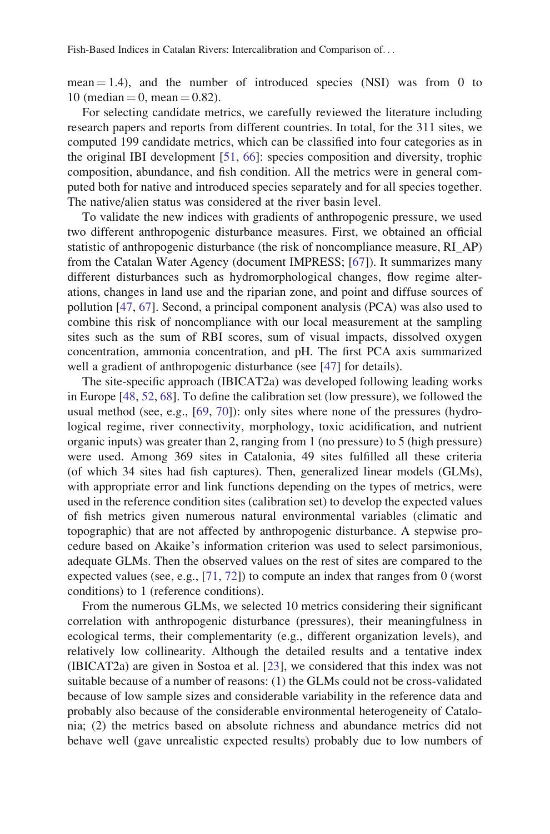mean  $= 1.4$ ), and the number of introduced species (NSI) was from 0 to 10 (median  $= 0$ , mean  $= 0.82$ ).

For selecting candidate metrics, we carefully reviewed the literature including research papers and reports from different countries. In total, for the 311 sites, we computed 199 candidate metrics, which can be classified into four categories as in the original IBI development [[51,](#page-21-0) [66](#page-22-0)]: species composition and diversity, trophic composition, abundance, and fish condition. All the metrics were in general computed both for native and introduced species separately and for all species together. The native/alien status was considered at the river basin level.

To validate the new indices with gradients of anthropogenic pressure, we used two different anthropogenic disturbance measures. First, we obtained an official statistic of anthropogenic disturbance (the risk of noncompliance measure, RI\_AP) from the Catalan Water Agency (document IMPRESS; [[67\]](#page-22-0)). It summarizes many different disturbances such as hydromorphological changes, flow regime alterations, changes in land use and the riparian zone, and point and diffuse sources of pollution [[47,](#page-21-0) [67](#page-22-0)]. Second, a principal component analysis (PCA) was also used to combine this risk of noncompliance with our local measurement at the sampling sites such as the sum of RBI scores, sum of visual impacts, dissolved oxygen concentration, ammonia concentration, and pH. The first PCA axis summarized well a gradient of anthropogenic disturbance (see [\[47](#page-21-0)] for details).

The site-specific approach (IBICAT2a) was developed following leading works in Europe [\[48](#page-21-0), [52](#page-21-0), [68\]](#page-22-0). To define the calibration set (low pressure), we followed the usual method (see, e.g., [\[69](#page-22-0), [70\]](#page-22-0)): only sites where none of the pressures (hydrological regime, river connectivity, morphology, toxic acidification, and nutrient organic inputs) was greater than 2, ranging from 1 (no pressure) to 5 (high pressure) were used. Among 369 sites in Catalonia, 49 sites fulfilled all these criteria (of which 34 sites had fish captures). Then, generalized linear models (GLMs), with appropriate error and link functions depending on the types of metrics, were used in the reference condition sites (calibration set) to develop the expected values of fish metrics given numerous natural environmental variables (climatic and topographic) that are not affected by anthropogenic disturbance. A stepwise procedure based on Akaike's information criterion was used to select parsimonious, adequate GLMs. Then the observed values on the rest of sites are compared to the expected values (see, e.g., [[71,](#page-22-0) [72\]](#page-22-0)) to compute an index that ranges from 0 (worst conditions) to 1 (reference conditions).

From the numerous GLMs, we selected 10 metrics considering their significant correlation with anthropogenic disturbance (pressures), their meaningfulness in ecological terms, their complementarity (e.g., different organization levels), and relatively low collinearity. Although the detailed results and a tentative index (IBICAT2a) are given in Sostoa et al. [[23\]](#page-20-0), we considered that this index was not suitable because of a number of reasons: (1) the GLMs could not be cross-validated because of low sample sizes and considerable variability in the reference data and probably also because of the considerable environmental heterogeneity of Catalonia; (2) the metrics based on absolute richness and abundance metrics did not behave well (gave unrealistic expected results) probably due to low numbers of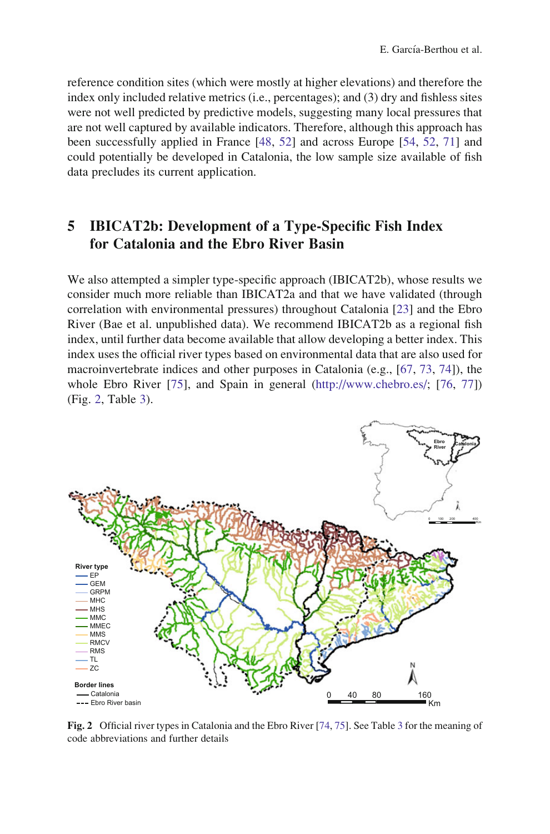<span id="page-11-0"></span>reference condition sites (which were mostly at higher elevations) and therefore the index only included relative metrics (i.e., percentages); and (3) dry and fishless sites were not well predicted by predictive models, suggesting many local pressures that are not well captured by available indicators. Therefore, although this approach has been successfully applied in France [\[48](#page-21-0), [52](#page-21-0)] and across Europe [\[54](#page-21-0), [52](#page-21-0), [71](#page-22-0)] and could potentially be developed in Catalonia, the low sample size available of fish data precludes its current application.

## 5 IBICAT2b: Development of a Type-Specific Fish Index for Catalonia and the Ebro River Basin

We also attempted a simpler type-specific approach (IBICAT2b), whose results we consider much more reliable than IBICAT2a and that we have validated (through correlation with environmental pressures) throughout Catalonia [\[23](#page-20-0)] and the Ebro River (Bae et al. unpublished data). We recommend IBICAT2b as a regional fish index, until further data become available that allow developing a better index. This index uses the official river types based on environmental data that are also used for macroinvertebrate indices and other purposes in Catalonia (e.g., [[67](#page-22-0), [73](#page-22-0), [74](#page-22-0)]), the whole Ebro River [[75\]](#page-22-0), and Spain in general [\(http://www.chebro.es/](http://www.chebro.es/); [[76,](#page-22-0) [77\]](#page-22-0)) (Fig. 2, Table [3\)](#page-12-0).



Fig. 2 Official river types in Catalonia and the Ebro River [\[74,](#page-22-0) [75\]](#page-22-0). See Table [3](#page-12-0) for the meaning of code abbreviations and further details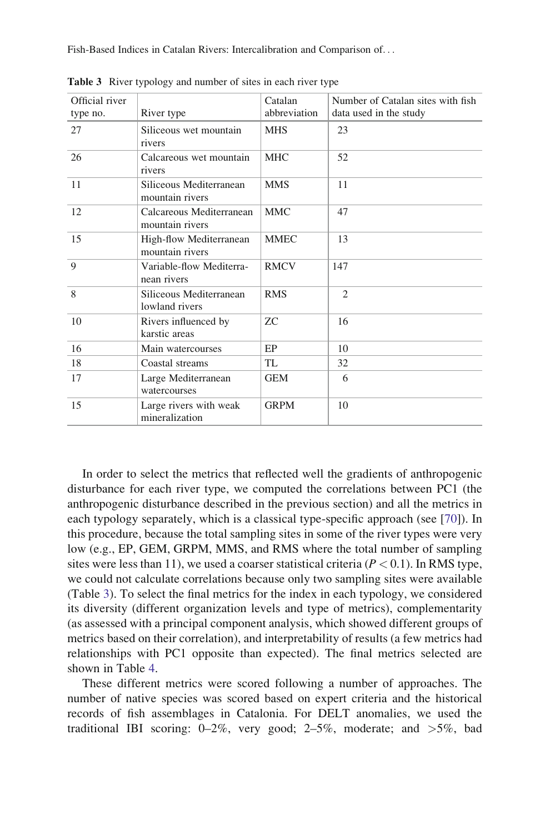| Official river |                                             | Catalan      | Number of Catalan sites with fish |
|----------------|---------------------------------------------|--------------|-----------------------------------|
| type no.       | River type                                  | abbreviation | data used in the study            |
| 27             | Siliceous wet mountain<br>rivers            | <b>MHS</b>   | 23                                |
| 26             | Calcareous wet mountain<br>rivers           | <b>MHC</b>   | 52                                |
| 11             | Siliceous Mediterranean<br>mountain rivers  | <b>MMS</b>   | 11                                |
| 12             | Calcareous Mediterranean<br>mountain rivers | <b>MMC</b>   | 47                                |
| 15             | High-flow Mediterranean<br>mountain rivers  | <b>MMEC</b>  | 13                                |
| $\mathbf Q$    | Variable-flow Mediterra-<br>nean rivers     | <b>RMCV</b>  | 147                               |
| 8              | Siliceous Mediterranean<br>lowland rivers   | <b>RMS</b>   | $\overline{c}$                    |
| 10             | Rivers influenced by<br>karstic areas       | ZC           | 16                                |
| 16             | Main watercourses                           | EP           | 10                                |
| 18             | Coastal streams                             | TL           | 32                                |
| 17             | Large Mediterranean<br>watercourses         | <b>GEM</b>   | 6                                 |
| 15             | Large rivers with weak<br>mineralization    | <b>GRPM</b>  | 10                                |

<span id="page-12-0"></span>Table 3 River typology and number of sites in each river type

In order to select the metrics that reflected well the gradients of anthropogenic disturbance for each river type, we computed the correlations between PC1 (the anthropogenic disturbance described in the previous section) and all the metrics in each typology separately, which is a classical type-specific approach (see [\[70](#page-22-0)]). In this procedure, because the total sampling sites in some of the river types were very low (e.g., EP, GEM, GRPM, MMS, and RMS where the total number of sampling sites were less than 11), we used a coarser statistical criteria ( $P < 0.1$ ). In RMS type, we could not calculate correlations because only two sampling sites were available (Table 3). To select the final metrics for the index in each typology, we considered its diversity (different organization levels and type of metrics), complementarity (as assessed with a principal component analysis, which showed different groups of metrics based on their correlation), and interpretability of results (a few metrics had relationships with PC1 opposite than expected). The final metrics selected are shown in Table [4.](#page-13-0)

These different metrics were scored following a number of approaches. The number of native species was scored based on expert criteria and the historical records of fish assemblages in Catalonia. For DELT anomalies, we used the traditional IBI scoring:  $0-2\%$ , very good;  $2-5\%$ , moderate; and  $>5\%$ , bad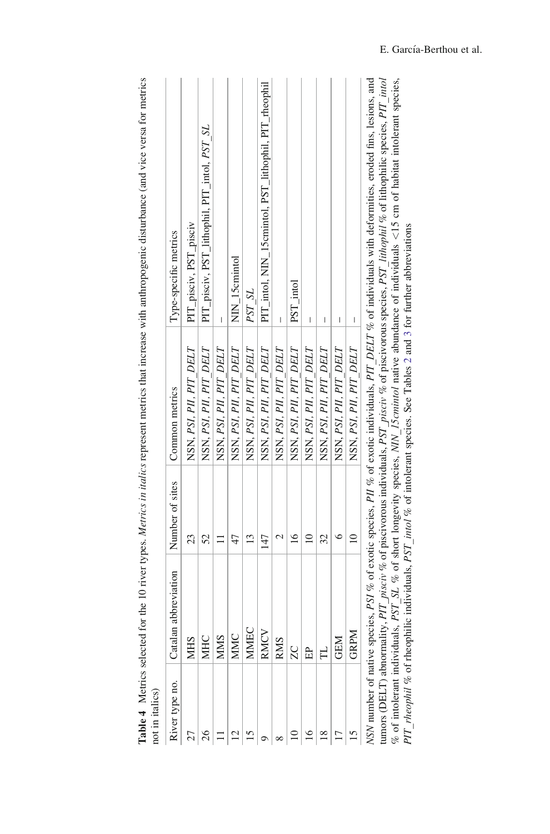| 23              | Common metrics          | Type-specific metrics                                                                                                                                                                                                                                                                                                                                                                 |
|-----------------|-------------------------|---------------------------------------------------------------------------------------------------------------------------------------------------------------------------------------------------------------------------------------------------------------------------------------------------------------------------------------------------------------------------------------|
|                 | NSN, PSI, PII, PIT DELT | PIT_pisciv, PST_pisciv                                                                                                                                                                                                                                                                                                                                                                |
| 52              | NSN, PSI, PII, PIT DELT | PIT_pisciv, PST_lithophil, PIT_intol, PST_SL                                                                                                                                                                                                                                                                                                                                          |
|                 | NSN, PSI, PII, PIT DELT | Ī                                                                                                                                                                                                                                                                                                                                                                                     |
| 47              |                         | NIN 15cmintol                                                                                                                                                                                                                                                                                                                                                                         |
| $\frac{13}{2}$  |                         | PST SL                                                                                                                                                                                                                                                                                                                                                                                |
| 147             |                         | PIT_intol, NIN_15cmintol, PST_lithophil, PIT_rheophil                                                                                                                                                                                                                                                                                                                                 |
| c               |                         | I                                                                                                                                                                                                                                                                                                                                                                                     |
| $\overline{16}$ |                         | PST intol                                                                                                                                                                                                                                                                                                                                                                             |
| $\supseteq$     |                         | Ī                                                                                                                                                                                                                                                                                                                                                                                     |
| 32              |                         | I                                                                                                                                                                                                                                                                                                                                                                                     |
|                 |                         | I                                                                                                                                                                                                                                                                                                                                                                                     |
| $\approx$       |                         | $\overline{\phantom{a}}$                                                                                                                                                                                                                                                                                                                                                              |
|                 |                         | ecies, PSI % of exotic species, PII % of exotic individuals, PIT DELT % of individuals with deformities, eroded fins, lesions, and<br>NSN, PSI, PII, PIT_DELT<br>NSN, PSI, PII, PIT DELT<br>NSN, PSI, PII, PIT DELT<br>NSN, PSI, PII, PIT DELT<br>NSN, PSI, PII, PIT DELT<br>NSN, PSI, PII, PIT DELT<br>NSN, PSI, PII, PIT DELT<br>NSN, PSI, PII, PIT DELT<br>NSN, PSI, PII, PIT DELT |

<span id="page-13-0"></span>

| l                                                                   |                                         |
|---------------------------------------------------------------------|-----------------------------------------|
|                                                                     |                                         |
|                                                                     |                                         |
|                                                                     |                                         |
|                                                                     |                                         |
|                                                                     |                                         |
|                                                                     |                                         |
| į<br>$\frac{1}{2}$                                                  |                                         |
|                                                                     |                                         |
|                                                                     |                                         |
|                                                                     |                                         |
| j                                                                   |                                         |
|                                                                     |                                         |
| j                                                                   |                                         |
| ì                                                                   |                                         |
|                                                                     |                                         |
|                                                                     |                                         |
| i                                                                   |                                         |
|                                                                     |                                         |
| $\ddot{\phantom{a}}$<br>5<br>ł<br>d                                 |                                         |
| )<br>)<br>)<br>$\frac{1}{2}$<br>$\frac{1}{2}$<br>$\frac{1}{2}$<br>i |                                         |
| $\overline{a}$<br>i<br>ì                                            | i                                       |
| l<br>i<br>i                                                         | $\ddot{ }$<br>$\ddot{\phantom{0}}$<br>έ |
| I                                                                   |                                         |

% of intolerant individuals,  $PST\_SL$  % of short longevity species, NIN 15cmintol native abundance of individuals <15 cm of habitat intolerant species,  $PIT\_theophil$  is individuals,  $PST\_into$  % of intolerant species,  $See$  Tables 2 % of intolerant individuals, PST\_SL % of short longevity species, NIN\_15cmintol native abundance of individuals <15 cm of habitat intolerant species, PIT *rheophil* % of rheophilic individuals, PST *intol* % of intolerant species. See Tables [2](#page-8-0) and [3](#page-12-0) for further abbreviations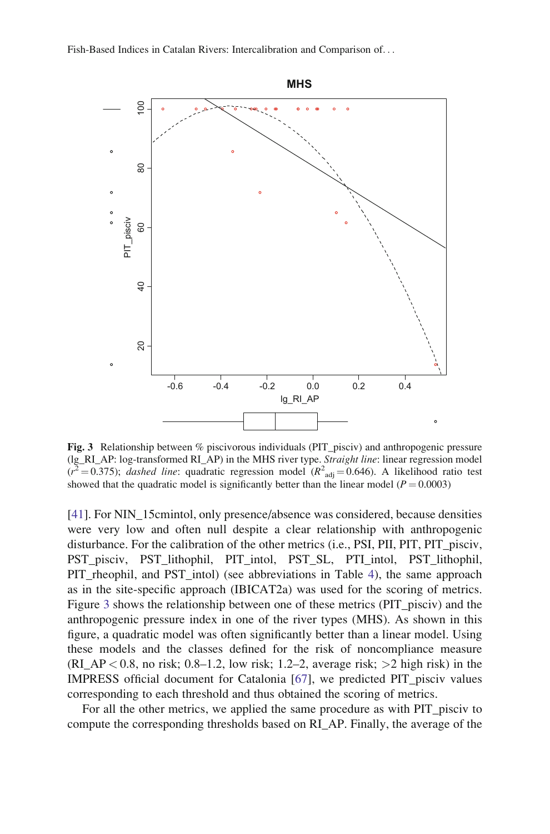

**Fig. 3** Relationship between  $\%$  piscivorous individuals (PIT pisciv) and anthropogenic pressure (lg\_RI\_AP: log-transformed RI\_AP) in the MHS river type. Straight line: linear regression model  $(r^2 = 0.375)$ ; dashed line: quadratic regression model ( $R^2$ <sub>adj</sub> = 0.646). A likelihood ratio test showed that the quadratic model is significantly better than the linear model ( $P = 0.0003$ )

[\[41](#page-20-0)]. For NIN\_15cmintol, only presence/absence was considered, because densities were very low and often null despite a clear relationship with anthropogenic disturbance. For the calibration of the other metrics (i.e., PSI, PII, PIT, PIT pisciv, PST\_pisciv, PST\_lithophil, PIT\_intol, PST\_SL, PTI\_intol, PST\_lithophil, PIT rheophil, and PST intol) (see abbreviations in Table [4](#page-13-0)), the same approach as in the site-specific approach (IBICAT2a) was used for the scoring of metrics. Figure 3 shows the relationship between one of these metrics (PIT\_pisciv) and the anthropogenic pressure index in one of the river types (MHS). As shown in this figure, a quadratic model was often significantly better than a linear model. Using these models and the classes defined for the risk of noncompliance measure  $(RI_A P < 0.8$ , no risk;  $0.8-1.2$ , low risk;  $1.2-2$ , average risk;  $>2$  high risk) in the IMPRESS official document for Catalonia [[67\]](#page-22-0), we predicted PIT\_pisciv values corresponding to each threshold and thus obtained the scoring of metrics.

For all the other metrics, we applied the same procedure as with PIT\_pisciv to compute the corresponding thresholds based on RI\_AP. Finally, the average of the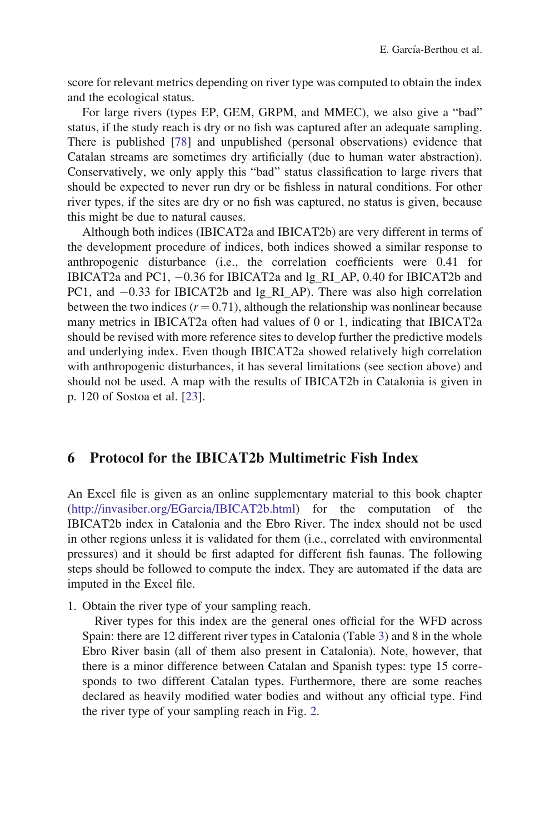score for relevant metrics depending on river type was computed to obtain the index and the ecological status.

For large rivers (types EP, GEM, GRPM, and MMEC), we also give a "bad" status, if the study reach is dry or no fish was captured after an adequate sampling. There is published [[78\]](#page-22-0) and unpublished (personal observations) evidence that Catalan streams are sometimes dry artificially (due to human water abstraction). Conservatively, we only apply this "bad" status classification to large rivers that should be expected to never run dry or be fishless in natural conditions. For other river types, if the sites are dry or no fish was captured, no status is given, because this might be due to natural causes.

Although both indices (IBICAT2a and IBICAT2b) are very different in terms of the development procedure of indices, both indices showed a similar response to anthropogenic disturbance (i.e., the correlation coefficients were 0.41 for IBICAT2a and PC1,  $-0.36$  for IBICAT2a and lg\_RI\_AP, 0.40 for IBICAT2b and PC1, and -0.33 for IBICAT2b and lg\_RI\_AP). There was also high correlation between the two indices  $(r = 0.71)$ , although the relationship was nonlinear because many metrics in IBICAT2a often had values of 0 or 1, indicating that IBICAT2a should be revised with more reference sites to develop further the predictive models and underlying index. Even though IBICAT2a showed relatively high correlation with anthropogenic disturbances, it has several limitations (see section above) and should not be used. A map with the results of IBICAT2b in Catalonia is given in p. 120 of Sostoa et al. [\[23](#page-20-0)].

#### 6 Protocol for the IBICAT2b Multimetric Fish Index

An Excel file is given as an online supplementary material to this book chapter [\(http://invasiber.org/EGarcia/IBICAT2b.html](http://invasiber.org/EGarcia/IBICAT2b.html)) for the computation of the IBICAT2b index in Catalonia and the Ebro River. The index should not be used in other regions unless it is validated for them (i.e., correlated with environmental pressures) and it should be first adapted for different fish faunas. The following steps should be followed to compute the index. They are automated if the data are imputed in the Excel file.

1. Obtain the river type of your sampling reach.

River types for this index are the general ones official for the WFD across Spain: there are 12 different river types in Catalonia (Table [3](#page-12-0)) and 8 in the whole Ebro River basin (all of them also present in Catalonia). Note, however, that there is a minor difference between Catalan and Spanish types: type 15 corresponds to two different Catalan types. Furthermore, there are some reaches declared as heavily modified water bodies and without any official type. Find the river type of your sampling reach in Fig. [2](#page-11-0).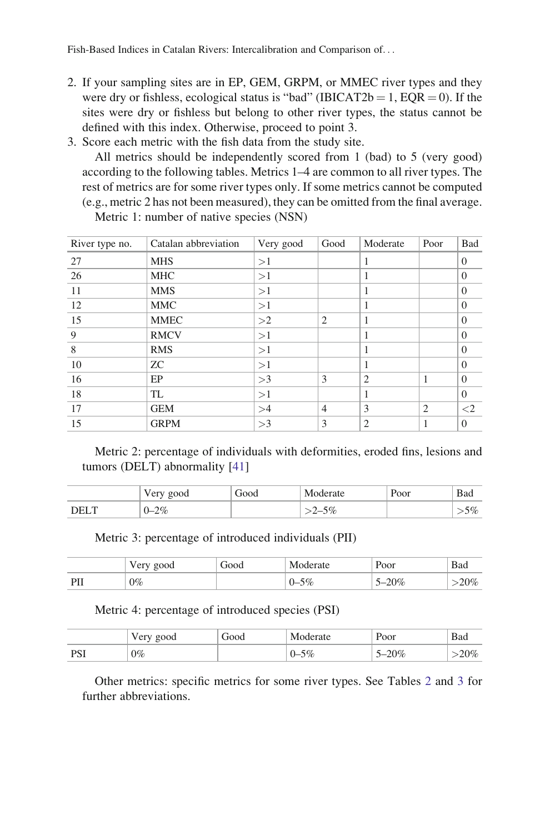- 2. If your sampling sites are in EP, GEM, GRPM, or MMEC river types and they were dry or fishless, ecological status is "bad" (IBICAT2b = 1, EQR = 0). If the sites were dry or fishless but belong to other river types, the status cannot be defined with this index. Otherwise, proceed to point 3.
- 3. Score each metric with the fish data from the study site.

All metrics should be independently scored from 1 (bad) to 5 (very good) according to the following tables. Metrics 1–4 are common to all river types. The rest of metrics are for some river types only. If some metrics cannot be computed (e.g., metric 2 has not been measured), they can be omitted from the final average. Metric 1: number of native species (NSN)

| River type no. | Catalan abbreviation | Very good | Good           | Moderate | Poor           | Bad                 |
|----------------|----------------------|-----------|----------------|----------|----------------|---------------------|
| 27             | <b>MHS</b>           | >1        |                | 1        |                | $\Omega$            |
| 26             | <b>MHC</b>           | >1        |                | 1        |                | $\Omega$            |
| 11             | <b>MMS</b>           | >1        |                | 1        |                | $\mathbf{0}$        |
| 12             | <b>MMC</b>           | >1        |                | 1        |                | $\Omega$            |
| 15             | <b>MMEC</b>          | >2        | $\overline{2}$ | 1        |                | $\Omega$            |
| 9              | <b>RMCV</b>          | >1        |                | 1        |                | $\Omega$            |
| 8              | <b>RMS</b>           | >1        |                | 1        |                | $\Omega$            |
| 10             | <b>ZC</b>            | >1        |                | 1        |                | $\Omega$            |
| 16             | EP                   | >3        | 3              | 2        | 1              | $\theta$            |
| 18             | TL                   | >1        |                | 1        |                | $\overline{0}$      |
| 17             | <b>GEM</b>           | >4        | $\overline{4}$ | 3        | $\overline{2}$ | $\langle 2 \rangle$ |
| 15             | <b>GRPM</b>          | >3        | 3              | 2        | 1              | $\Omega$            |

Metric 2: percentage of individuals with deformities, eroded fins, lesions and tumors (DELT) abnormality [[41\]](#page-20-0)

|     | very<br>good | <b>b</b> Oot | lerate<br>M | Poor | Bad   |
|-----|--------------|--------------|-------------|------|-------|
| וער | -2%<br>ັ     |              | $-2 - 5\%$  |      | $5\%$ |

Metric 3: percentage of introduced individuals (PII)

|         | /ery<br>good | Good | Moderate                | Poor                                 | Bad          |
|---------|--------------|------|-------------------------|--------------------------------------|--------------|
| DH<br>. | $0\%$        |      | $5\%$<br><b>1-</b><br>◡ | 20%<br>ັ<br>$\overline{\phantom{0}}$ | $\cdot 20\%$ |

Metric 4: percentage of introduced species (PSI)

|            | good<br>$\sqrt{\rho_{\rm{TV}}}$<br>U1 | <b>rood</b> | erate              | Poor       | Bad |
|------------|---------------------------------------|-------------|--------------------|------------|-----|
| <b>PSI</b> | $0\%$                                 |             | $5\%$<br>. ._<br>◡ | -20%<br>`− | 20% |

Other metrics: specific metrics for some river types. See Tables [2](#page-8-0) and [3](#page-12-0) for further abbreviations.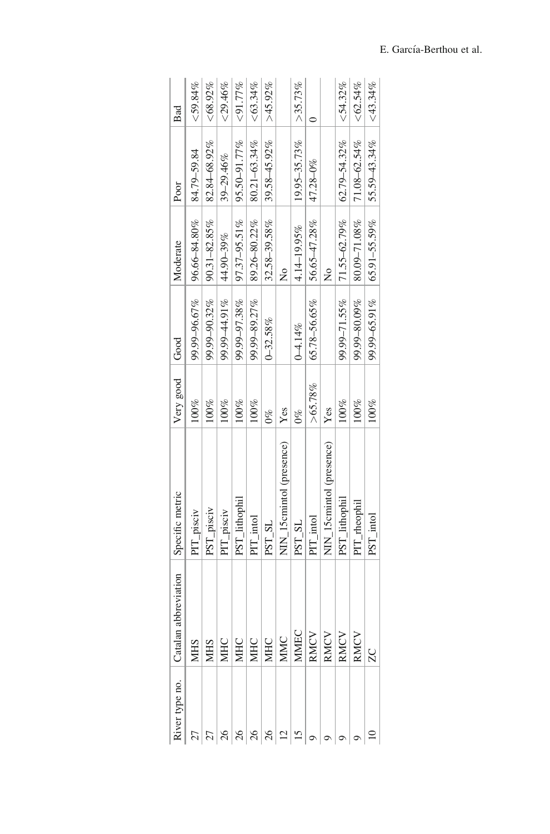| Bad<br>Poor          | 59.84%<br>84.79-59.84 | $<$ 68.92%<br>82.84-68.92% | $<$ 29.46%<br>39-29.46% | 591.77%<br>95.50-91.77% | $< 63.34\%$<br>80.21-63.34% | $>45.92\%$<br>39.58-45.92% |                          | >35.73%<br>19.95–35.73% | 47.28-0%     |                          | $54.32\%$<br>$62.79 - 54.32\%$ | $< 62.54\%$<br>71.08-62.54% | $<$ 43.34%<br>55.59 43.34% |
|----------------------|-----------------------|----------------------------|-------------------------|-------------------------|-----------------------------|----------------------------|--------------------------|-------------------------|--------------|--------------------------|--------------------------------|-----------------------------|----------------------------|
| Moderate             | 96.66-84.80%          | 90.31-82.85%               | 44.90-39%               | 97.37-95.51%            | 89.26-80.22%                | 32.58-39.58%               | $\frac{1}{2}$            | 4.14-19.95%             | 56.65-47.28% | ż                        | 71.55-62.79%                   | 80.09-71.08%                | $65.91 - 55.59%$           |
|                      | 99.99-96.67%          | 99.99-90.32%               | 99.99-44.91%            | 99.99-97.38%            | 99.99-89.27%                | $0 - 32.58\%$              |                          | $0 - 4.14\%$            | 65.78-56.65% |                          | 99.99-71.55%                   | 99.99-80.09%                | 99.99-65.91%               |
| Very good   Good     | 100%                  | 100%                       | 100%                    | 100%                    | 100%                        | $0\%$                      | Yes                      | $0\%$                   | >65.78%      | Yes                      | 100%                           | 100%                        | 100%                       |
| Specific metric      | PIT_pisciv            | PST_pisciv                 | PIT_pisciv              | PST_lithophil           | PIT_intol                   | PST_SL                     | NIN_15cmintol (presence) | PST_SL                  | $PIT_$ intol | NIN_15cmintol (presence) | PST_lithophil                  | PIT_rheophil                | PST intol                  |
| Catalan abbreviation | <b>NIHS</b>           | <b>NHS</b>                 | NHC                     | <b>MHC</b>              | $\overline{\text{MEC}}$     | $\frac{1}{\sqrt{HIC}}$     | <b>MMC</b>               | <b>MMEC</b>             | <b>RMCV</b>  | <b>RMCV</b>              | <b>RMCV</b>                    | <b>RMCV</b>                 | ZC                         |
| iver type no.        |                       |                            | 26                      | $\frac{26}{5}$          |                             | $\frac{8}{26}$             | $\overline{5}$           | 15                      |              |                          |                                |                             |                            |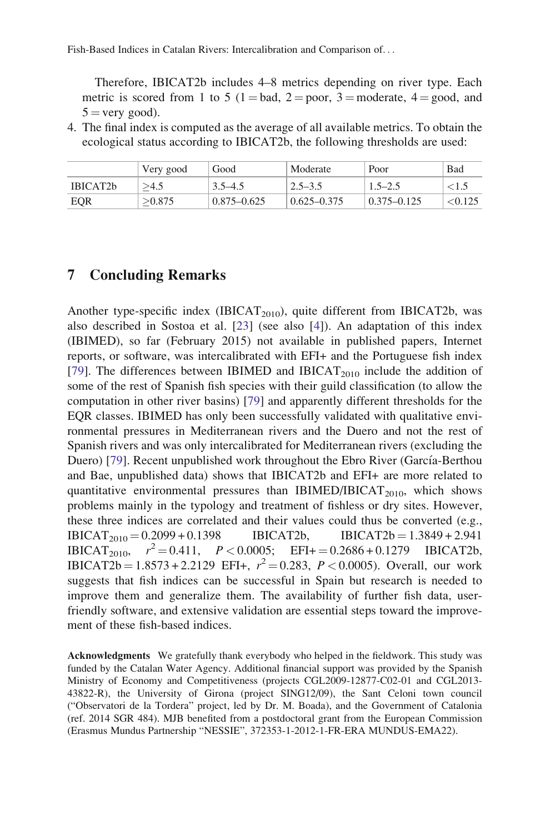Therefore, IBICAT2b includes 4–8 metrics depending on river type. Each metric is scored from 1 to 5 (1 = bad, 2 = poor, 3 = moderate, 4 = good, and  $5 = \text{very good}$ ).

4. The final index is computed as the average of all available metrics. To obtain the ecological status according to IBICAT2b, the following thresholds are used:

|                       | Very good | Good            | Moderate        | Poor            | Bad      |
|-----------------------|-----------|-----------------|-----------------|-----------------|----------|
| IBICAT <sub>2</sub> b | >4.5      | $3.5 - 4.5$     | $2.5 - 3.5$     | $1.5 - 2.5$     | ${<}1.5$ |
| EOR                   | >0.875    | $0.875 - 0.625$ | $0.625 - 0.375$ | $0.375 - 0.125$ | < 0.125  |

#### 7 Concluding Remarks

Another type-specific index (IBICAT<sub>2010</sub>), quite different from IBICAT2b, was also described in Sostoa et al. [[23\]](#page-20-0) (see also [[4\]](#page-19-0)). An adaptation of this index (IBIMED), so far (February 2015) not available in published papers, Internet reports, or software, was intercalibrated with EFI+ and the Portuguese fish index [\[79](#page-22-0)]. The differences between IBIMED and IBICAT<sub>2010</sub> include the addition of some of the rest of Spanish fish species with their guild classification (to allow the computation in other river basins) [[79\]](#page-22-0) and apparently different thresholds for the EQR classes. IBIMED has only been successfully validated with qualitative environmental pressures in Mediterranean rivers and the Duero and not the rest of Spanish rivers and was only intercalibrated for Mediterranean rivers (excluding the Duero) [\[79](#page-22-0)]. Recent unpublished work throughout the Ebro River (García-Berthou and Bae, unpublished data) shows that IBICAT2b and EFI+ are more related to quantitative environmental pressures than IBIMED/IBICAT $_{2010}$ , which shows problems mainly in the typology and treatment of fishless or dry sites. However, these three indices are correlated and their values could thus be converted (e.g.,  $IBICAT<sub>2010</sub> = 0.2099 + 0.1398$  IBICAT2b, IBICAT2b = 1.3849 + 2.941 IBICAT<sub>2010</sub>,  $r^2 = 0.411$ ,  $P < 0.0005$ ; EFI+ = 0.2686 + 0.1279 IBICAT2b, IBICAT2b = 1.8573 + 2.2129 EFI+,  $r^2 = 0.283$ ,  $P < 0.0005$ ). Overall, our work suggests that fish indices can be successful in Spain but research is needed to improve them and generalize them. The availability of further fish data, userfriendly software, and extensive validation are essential steps toward the improvement of these fish-based indices.

Acknowledgments We gratefully thank everybody who helped in the fieldwork. This study was funded by the Catalan Water Agency. Additional financial support was provided by the Spanish Ministry of Economy and Competitiveness (projects CGL2009-12877-C02-01 and CGL2013- 43822-R), the University of Girona (project SING12/09), the Sant Celoni town council ("Observatori de la Tordera" project, led by Dr. M. Boada), and the Government of Catalonia (ref. 2014 SGR 484). MJB benefited from a postdoctoral grant from the European Commission (Erasmus Mundus Partnership "NESSIE", 372353-1-2012-1-FR-ERA MUNDUS-EMA22).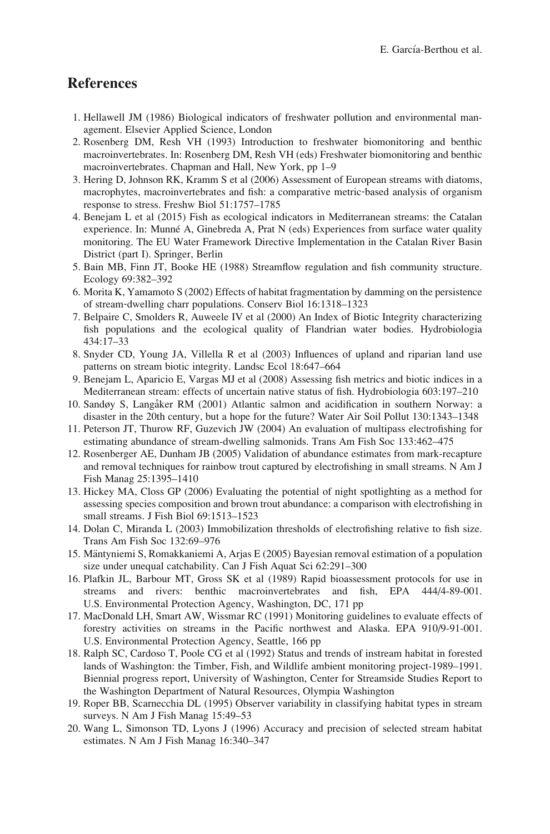## <span id="page-19-0"></span>References

- 1. Hellawell JM (1986) Biological indicators of freshwater pollution and environmental management. Elsevier Applied Science, London
- 2. Rosenberg DM, Resh VH (1993) Introduction to freshwater biomonitoring and benthic macroinvertebrates. In: Rosenberg DM, Resh VH (eds) Freshwater biomonitoring and benthic macroinvertebrates. Chapman and Hall, New York, pp 1–9
- 3. Hering D, Johnson RK, Kramm S et al (2006) Assessment of European streams with diatoms, macrophytes, macroinvertebrates and fish: a comparative metric‐based analysis of organism response to stress. Freshw Biol 51:1757–1785
- 4. Benejam L et al (2015) Fish as ecological indicators in Mediterranean streams: the Catalan experience. In: Munné A, Ginebreda A, Prat N (eds) Experiences from surface water quality monitoring. The EU Water Framework Directive Implementation in the Catalan River Basin District (part I). Springer, Berlin
- 5. Bain MB, Finn JT, Booke HE (1988) Streamflow regulation and fish community structure. Ecology 69:382–392
- 6. Morita K, Yamamoto S (2002) Effects of habitat fragmentation by damming on the persistence of stream‐dwelling charr populations. Conserv Biol 16:1318–1323
- 7. Belpaire C, Smolders R, Auweele IV et al (2000) An Index of Biotic Integrity characterizing fish populations and the ecological quality of Flandrian water bodies. Hydrobiologia 434:17–33
- 8. Snyder CD, Young JA, Villella R et al (2003) Influences of upland and riparian land use patterns on stream biotic integrity. Landsc Ecol 18:647–664
- 9. Benejam L, Aparicio E, Vargas MJ et al (2008) Assessing fish metrics and biotic indices in a Mediterranean stream: effects of uncertain native status of fish. Hydrobiologia 603:197–210
- 10. Sandøy S, Langåker RM (2001) Atlantic salmon and acidification in southern Norway: a disaster in the 20th century, but a hope for the future? Water Air Soil Pollut 130:1343–1348
- 11. Peterson JT, Thurow RF, Guzevich JW (2004) An evaluation of multipass electrofishing for estimating abundance of stream-dwelling salmonids. Trans Am Fish Soc 133:462–475
- 12. Rosenberger AE, Dunham JB (2005) Validation of abundance estimates from mark-recapture and removal techniques for rainbow trout captured by electrofishing in small streams. N Am J Fish Manag 25:1395–1410
- 13. Hickey MA, Closs GP (2006) Evaluating the potential of night spotlighting as a method for assessing species composition and brown trout abundance: a comparison with electrofishing in small streams. J Fish Biol 69:1513–1523
- 14. Dolan C, Miranda L (2003) Immobilization thresholds of electrofishing relative to fish size. Trans Am Fish Soc 132:69–976
- 15. Mäntyniemi S, Romakkaniemi A, Arjas E (2005) Bayesian removal estimation of a population size under unequal catchability. Can J Fish Aquat Sci 62:291–300
- 16. Plafkin JL, Barbour MT, Gross SK et al (1989) Rapid bioassessment protocols for use in streams and rivers: benthic macroinvertebrates and fish, EPA 444/4-89-001. U.S. Environmental Protection Agency, Washington, DC, 171 pp
- 17. MacDonald LH, Smart AW, Wissmar RC (1991) Monitoring guidelines to evaluate effects of forestry activities on streams in the Pacific northwest and Alaska. EPA 910/9-91-001. U.S. Environmental Protection Agency, Seattle, 166 pp
- 18. Ralph SC, Cardoso T, Poole CG et al (1992) Status and trends of instream habitat in forested lands of Washington: the Timber, Fish, and Wildlife ambient monitoring project-1989–1991. Biennial progress report, University of Washington, Center for Streamside Studies Report to the Washington Department of Natural Resources, Olympia Washington
- 19. Roper BB, Scarnecchia DL (1995) Observer variability in classifying habitat types in stream surveys. N Am J Fish Manag 15:49–53
- 20. Wang L, Simonson TD, Lyons J (1996) Accuracy and precision of selected stream habitat estimates. N Am J Fish Manag 16:340–347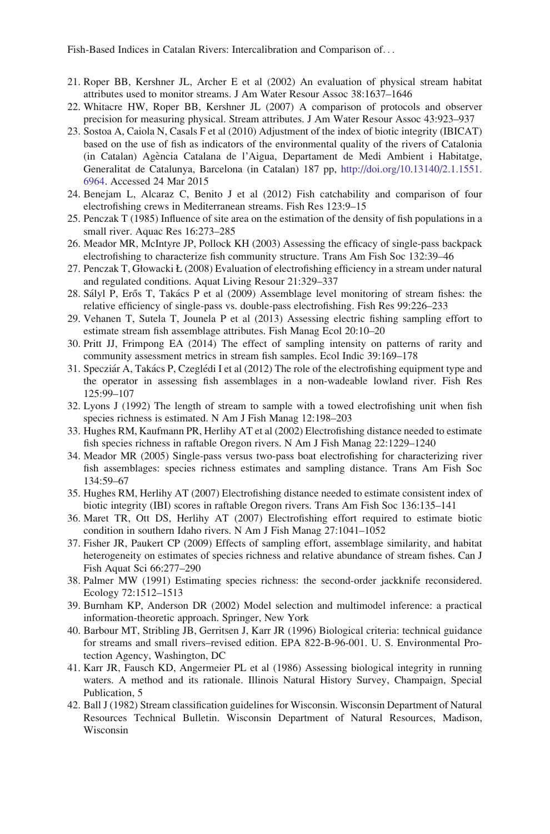- <span id="page-20-0"></span>21. Roper BB, Kershner JL, Archer E et al (2002) An evaluation of physical stream habitat attributes used to monitor streams. J Am Water Resour Assoc 38:1637–1646
- 22. Whitacre HW, Roper BB, Kershner JL (2007) A comparison of protocols and observer precision for measuring physical. Stream attributes. J Am Water Resour Assoc 43:923–937
- 23. Sostoa A, Caiola N, Casals F et al (2010) Adjustment of the index of biotic integrity (IBICAT) based on the use of fish as indicators of the environmental quality of the rivers of Catalonia (in Catalan) Age`ncia Catalana de l'Aigua, Departament de Medi Ambient i Habitatge, Generalitat de Catalunya, Barcelona (in Catalan) 187 pp, [http://doi.org/10.13140/2.1.1551.](http://dx.doi.org/http://doi.org/10.13140/2.1.1551.6964) [6964.](http://dx.doi.org/http://doi.org/10.13140/2.1.1551.6964) Accessed 24 Mar 2015
- 24. Benejam L, Alcaraz C, Benito J et al (2012) Fish catchability and comparison of four electrofishing crews in Mediterranean streams. Fish Res 123:9–15
- 25. Penczak T (1985) Influence of site area on the estimation of the density of fish populations in a small river. Aquac Res 16:273–285
- 26. Meador MR, McIntyre JP, Pollock KH (2003) Assessing the efficacy of single-pass backpack electrofishing to characterize fish community structure. Trans Am Fish Soc 132:39–46
- 27. Penczak T, Głowacki Ł (2008) Evaluation of electrofishing efficiency in a stream under natural and regulated conditions. Aquat Living Resour 21:329–337
- 28. Sályl P, Erős T, Takács P et al (2009) Assemblage level monitoring of stream fishes: the relative efficiency of single-pass vs. double-pass electrofishing. Fish Res 99:226–233
- 29. Vehanen T, Sutela T, Jounela P et al (2013) Assessing electric fishing sampling effort to estimate stream fish assemblage attributes. Fish Manag Ecol 20:10–20
- 30. Pritt JJ, Frimpong EA (2014) The effect of sampling intensity on patterns of rarity and community assessment metrics in stream fish samples. Ecol Indic 39:169–178
- 31. Speczia´r A, Taka´cs P, Czegle´di I et al (2012) The role of the electrofishing equipment type and the operator in assessing fish assemblages in a non-wadeable lowland river. Fish Res 125:99–107
- 32. Lyons J (1992) The length of stream to sample with a towed electrofishing unit when fish species richness is estimated. N Am J Fish Manag 12:198–203
- 33. Hughes RM, Kaufmann PR, Herlihy AT et al (2002) Electrofishing distance needed to estimate fish species richness in raftable Oregon rivers. N Am J Fish Manag 22:1229–1240
- 34. Meador MR (2005) Single-pass versus two-pass boat electrofishing for characterizing river fish assemblages: species richness estimates and sampling distance. Trans Am Fish Soc 134:59–67
- 35. Hughes RM, Herlihy AT (2007) Electrofishing distance needed to estimate consistent index of biotic integrity (IBI) scores in raftable Oregon rivers. Trans Am Fish Soc 136:135–141
- 36. Maret TR, Ott DS, Herlihy AT (2007) Electrofishing effort required to estimate biotic condition in southern Idaho rivers. N Am J Fish Manag 27:1041–1052
- 37. Fisher JR, Paukert CP (2009) Effects of sampling effort, assemblage similarity, and habitat heterogeneity on estimates of species richness and relative abundance of stream fishes. Can J Fish Aquat Sci 66:277–290
- 38. Palmer MW (1991) Estimating species richness: the second-order jackknife reconsidered. Ecology 72:1512–1513
- 39. Burnham KP, Anderson DR (2002) Model selection and multimodel inference: a practical information-theoretic approach. Springer, New York
- 40. Barbour MT, Stribling JB, Gerritsen J, Karr JR (1996) Biological criteria: technical guidance for streams and small rivers–revised edition. EPA 822-B-96-001. U. S. Environmental Protection Agency, Washington, DC
- 41. Karr JR, Fausch KD, Angermeier PL et al (1986) Assessing biological integrity in running waters. A method and its rationale. Illinois Natural History Survey, Champaign, Special Publication, 5
- 42. Ball J (1982) Stream classification guidelines for Wisconsin. Wisconsin Department of Natural Resources Technical Bulletin. Wisconsin Department of Natural Resources, Madison, Wisconsin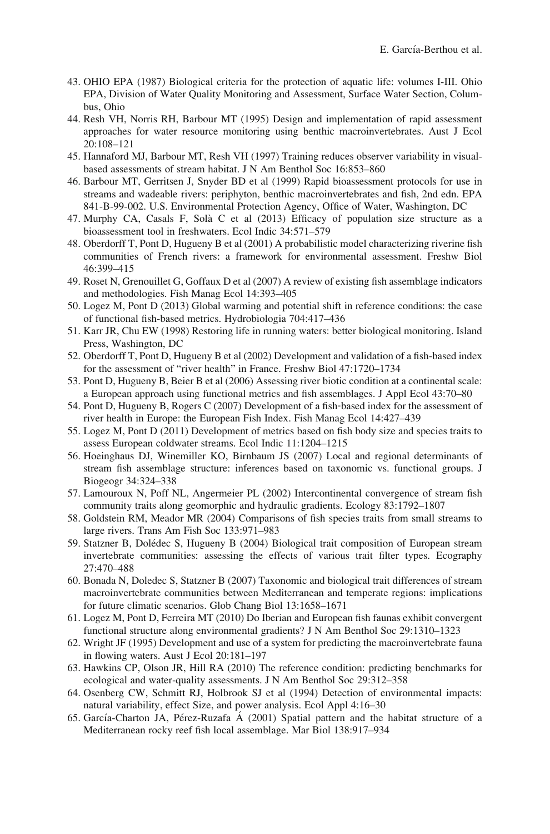- <span id="page-21-0"></span>43. OHIO EPA (1987) Biological criteria for the protection of aquatic life: volumes I-III. Ohio EPA, Division of Water Quality Monitoring and Assessment, Surface Water Section, Columbus, Ohio
- 44. Resh VH, Norris RH, Barbour MT (1995) Design and implementation of rapid assessment approaches for water resource monitoring using benthic macroinvertebrates. Aust J Ecol 20:108–121
- 45. Hannaford MJ, Barbour MT, Resh VH (1997) Training reduces observer variability in visualbased assessments of stream habitat. J N Am Benthol Soc 16:853–860
- 46. Barbour MT, Gerritsen J, Snyder BD et al (1999) Rapid bioassessment protocols for use in streams and wadeable rivers: periphyton, benthic macroinvertebrates and fish, 2nd edn. EPA 841-B-99-002. U.S. Environmental Protection Agency, Office of Water, Washington, DC
- 47. Murphy CA, Casals F, Sola C et al (2013) Efficacy of population size structure as a bioassessment tool in freshwaters. Ecol Indic 34:571–579
- 48. Oberdorff T, Pont D, Hugueny B et al (2001) A probabilistic model characterizing riverine fish communities of French rivers: a framework for environmental assessment. Freshw Biol 46:399–415
- 49. Roset N, Grenouillet G, Goffaux D et al (2007) A review of existing fish assemblage indicators and methodologies. Fish Manag Ecol 14:393–405
- 50. Logez M, Pont D (2013) Global warming and potential shift in reference conditions: the case of functional fish-based metrics. Hydrobiologia 704:417–436
- 51. Karr JR, Chu EW (1998) Restoring life in running waters: better biological monitoring. Island Press, Washington, DC
- 52. Oberdorff T, Pont D, Hugueny B et al (2002) Development and validation of a fish-based index for the assessment of "river health" in France. Freshw Biol 47:1720–1734
- 53. Pont D, Hugueny B, Beier B et al (2006) Assessing river biotic condition at a continental scale: a European approach using functional metrics and fish assemblages. J Appl Ecol 43:70–80
- 54. Pont D, Hugueny B, Rogers C (2007) Development of a fish-based index for the assessment of river health in Europe: the European Fish Index. Fish Manag Ecol 14:427–439
- 55. Logez M, Pont D (2011) Development of metrics based on fish body size and species traits to assess European coldwater streams. Ecol Indic 11:1204–1215
- 56. Hoeinghaus DJ, Winemiller KO, Birnbaum JS (2007) Local and regional determinants of stream fish assemblage structure: inferences based on taxonomic vs. functional groups. J Biogeogr 34:324–338
- 57. Lamouroux N, Poff NL, Angermeier PL (2002) Intercontinental convergence of stream fish community traits along geomorphic and hydraulic gradients. Ecology 83:1792–1807
- 58. Goldstein RM, Meador MR (2004) Comparisons of fish species traits from small streams to large rivers. Trans Am Fish Soc 133:971–983
- 59. Statzner B, Dolédec S, Hugueny B (2004) Biological trait composition of European stream invertebrate communities: assessing the effects of various trait filter types. Ecography 27:470–488
- 60. Bonada N, Doledec S, Statzner B (2007) Taxonomic and biological trait differences of stream macroinvertebrate communities between Mediterranean and temperate regions: implications for future climatic scenarios. Glob Chang Biol 13:1658–1671
- 61. Logez M, Pont D, Ferreira MT (2010) Do Iberian and European fish faunas exhibit convergent functional structure along environmental gradients? J N Am Benthol Soc 29:1310–1323
- 62. Wright JF (1995) Development and use of a system for predicting the macroinvertebrate fauna in flowing waters. Aust J Ecol 20:181–197
- 63. Hawkins CP, Olson JR, Hill RA (2010) The reference condition: predicting benchmarks for ecological and water-quality assessments. J N Am Benthol Soc 29:312–358
- 64. Osenberg CW, Schmitt RJ, Holbrook SJ et al (1994) Detection of environmental impacts: natural variability, effect Size, and power analysis. Ecol Appl 4:16–30
- 65. García-Charton JA, Pérez-Ruzafa Á (2001) Spatial pattern and the habitat structure of a Mediterranean rocky reef fish local assemblage. Mar Biol 138:917–934